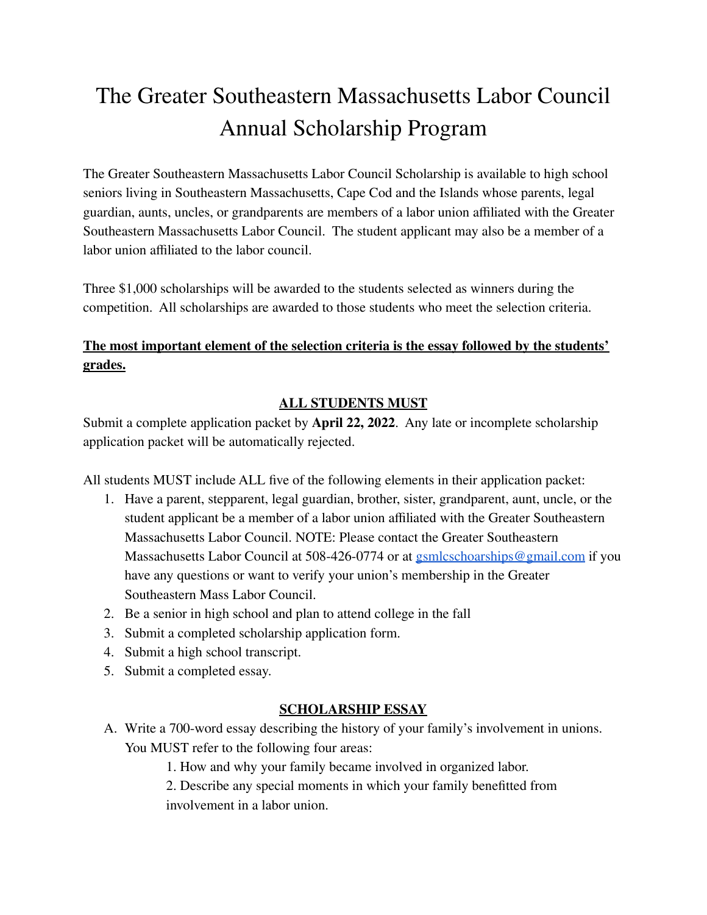# The Greater Southeastern Massachusetts Labor Council Annual Scholarship Program

The Greater Southeastern Massachusetts Labor Council Scholarship is available to high school seniors living in Southeastern Massachusetts, Cape Cod and the Islands whose parents, legal guardian, aunts, uncles, or grandparents are members of a labor union affiliated with the Greater Southeastern Massachusetts Labor Council. The student applicant may also be a member of a labor union affiliated to the labor council.

Three \$1,000 scholarships will be awarded to the students selected as winners during the competition. All scholarships are awarded to those students who meet the selection criteria.

# **The most important element of the selection criteria is the essay followed by the students' grades.**

# **ALL STUDENTS MUST**

Submit a complete application packet by **April 22, 2022**. Any late or incomplete scholarship application packet will be automatically rejected.

All students MUST include ALL five of the following elements in their application packet:

- 1. Have a parent, stepparent, legal guardian, brother, sister, grandparent, aunt, uncle, or the student applicant be a member of a labor union affiliated with the Greater Southeastern Massachusetts Labor Council. NOTE: Please contact the Greater Southeastern Massachusetts Labor Council at 508-426-0774 or at [gsmlcschoarships@gmail.com](mailto:gsmlcschoarships@gmail.com) if you have any questions or want to verify your union's membership in the Greater Southeastern Mass Labor Council.
- 2. Be a senior in high school and plan to attend college in the fall
- 3. Submit a completed scholarship application form.
- 4. Submit a high school transcript.
- 5. Submit a completed essay.

### **SCHOLARSHIP ESSAY**

- A. Write a 700-word essay describing the history of your family's involvement in unions. You MUST refer to the following four areas:
	- 1. How and why your family became involved in organized labor.

2. Describe any special moments in which your family benefitted from involvement in a labor union.